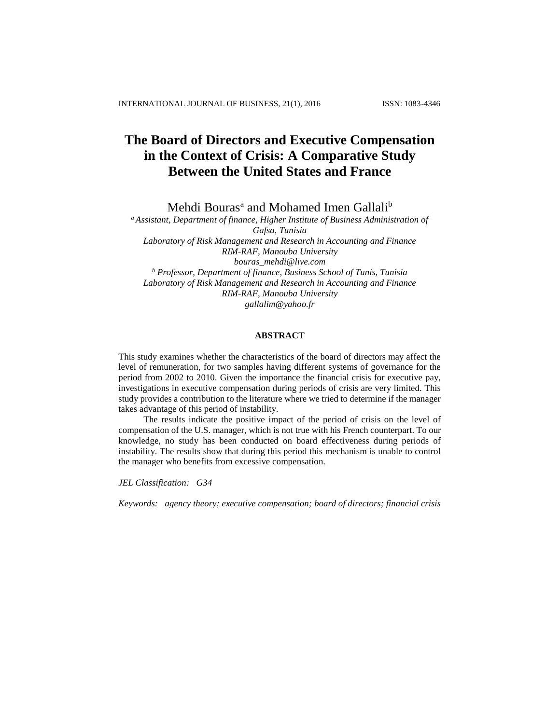# **The Board of Directors and Executive Compensation in the Context of Crisis: A Comparative Study Between the United States and France**

Mehdi Bouras<sup>a</sup> and Mohamed Imen Gallali<sup>b</sup>

*<sup>a</sup> Assistant, Department of finance, Higher Institute of Business Administration of Gafsa, Tunisia Laboratory of Risk Management and Research in Accounting and Finance RIM-RAF, Manouba University bouras\_mehdi@live.com <sup>b</sup> Professor, Department of finance, Business School of Tunis, Tunisia Laboratory of Risk Management and Research in Accounting and Finance RIM-RAF, Manouba University gallalim@yahoo.fr*

## **ABSTRACT**

This study examines whether the characteristics of the board of directors may affect the level of remuneration, for two samples having different systems of governance for the period from 2002 to 2010. Given the importance the financial crisis for executive pay, investigations in executive compensation during periods of crisis are very limited. This study provides a contribution to the literature where we tried to determine if the manager takes advantage of this period of instability.

The results indicate the positive impact of the period of crisis on the level of compensation of the U.S. manager, which is not true with his French counterpart. To our knowledge, no study has been conducted on board effectiveness during periods of instability. The results show that during this period this mechanism is unable to control the manager who benefits from excessive compensation.

*JEL Classification: G34*

*Keywords: agency theory; executive compensation; board of directors; financial crisis*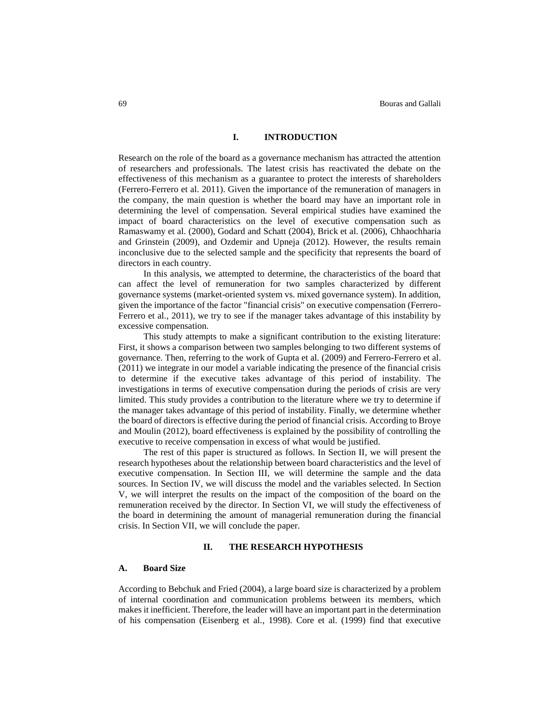## **I. INTRODUCTION**

Research on the role of the board as a governance mechanism has attracted the attention of researchers and professionals. The latest crisis has reactivated the debate on the effectiveness of this mechanism as a guarantee to protect the interests of shareholders (Ferrero-Ferrero et al. 2011). Given the importance of the remuneration of managers in the company, the main question is whether the board may have an important role in determining the level of compensation. Several empirical studies have examined the impact of board characteristics on the level of executive compensation such as Ramaswamy et al. (2000), Godard and Schatt (2004), Brick et al. (2006), Chhaochharia and Grinstein (2009), and Ozdemir and Upneja (2012). However, the results remain inconclusive due to the selected sample and the specificity that represents the board of directors in each country.

In this analysis, we attempted to determine, the characteristics of the board that can affect the level of remuneration for two samples characterized by different governance systems (market-oriented system vs. mixed governance system). In addition, given the importance of the factor "financial crisis" on executive compensation (Ferrero-Ferrero et al., 2011), we try to see if the manager takes advantage of this instability by excessive compensation.

This study attempts to make a significant contribution to the existing literature: First, it shows a comparison between two samples belonging to two different systems of governance. Then, referring to the work of Gupta et al. (2009) and Ferrero-Ferrero et al. (2011) we integrate in our model a variable indicating the presence of the financial crisis to determine if the executive takes advantage of this period of instability. The investigations in terms of executive compensation during the periods of crisis are very limited. This study provides a contribution to the literature where we try to determine if the manager takes advantage of this period of instability. Finally, we determine whether the board of directors is effective during the period of financial crisis. According to Broye and Moulin (2012), board effectiveness is explained by the possibility of controlling the executive to receive compensation in excess of what would be justified.

The rest of this paper is structured as follows. In Section II, we will present the research hypotheses about the relationship between board characteristics and the level of executive compensation. In Section III, we will determine the sample and the data sources. In Section IV, we will discuss the model and the variables selected. In Section V, we will interpret the results on the impact of the composition of the board on the remuneration received by the director. In Section VI, we will study the effectiveness of the board in determining the amount of managerial remuneration during the financial crisis. In Section VII, we will conclude the paper.

#### **II. THE RESEARCH HYPOTHESIS**

## **A. Board Size**

According to Bebchuk and Fried (2004), a large board size is characterized by a problem of internal coordination and communication problems between its members, which makes it inefficient. Therefore, the leader will have an important part in the determination of his compensation (Eisenberg et al., 1998). Core et al. (1999) find that executive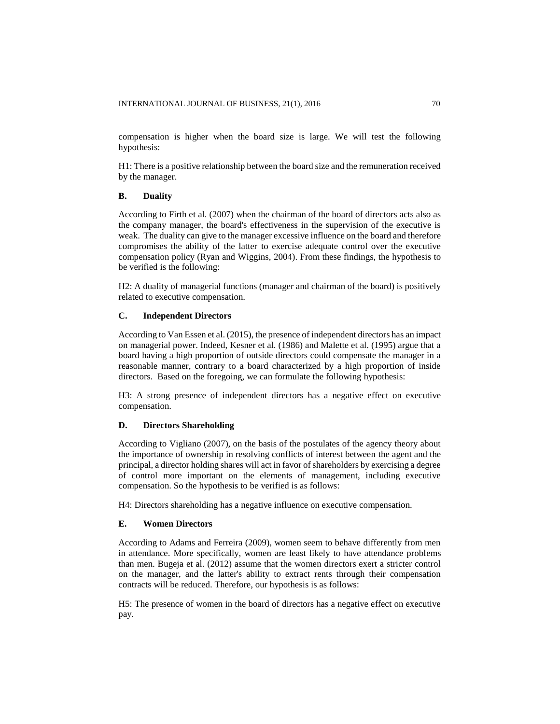compensation is higher when the board size is large. We will test the following hypothesis:

H1: There is a positive relationship between the board size and the remuneration received by the manager.

## **B. Duality**

According to Firth et al. (2007) when the chairman of the board of directors acts also as the company manager, the board's effectiveness in the supervision of the executive is weak. The duality can give to the manager excessive influence on the board and therefore compromises the ability of the latter to exercise adequate control over the executive compensation policy (Ryan and Wiggins, 2004). From these findings, the hypothesis to be verified is the following:

H2: A duality of managerial functions (manager and chairman of the board) is positively related to executive compensation.

## **C. Independent Directors**

According to Van Essen et al. (2015), the presence of independent directors has an impact on managerial power. Indeed, Kesner et al. (1986) and Malette et al. (1995) argue that a board having a high proportion of outside directors could compensate the manager in a reasonable manner, contrary to a board characterized by a high proportion of inside directors. Based on the foregoing, we can formulate the following hypothesis:

H3: A strong presence of independent directors has a negative effect on executive compensation.

### **D. Directors Shareholding**

According to Vigliano (2007), on the basis of the postulates of the agency theory about the importance of ownership in resolving conflicts of interest between the agent and the principal, a director holding shares will act in favor of shareholders by exercising a degree of control more important on the elements of management, including executive compensation. So the hypothesis to be verified is as follows:

H4: Directors shareholding has a negative influence on executive compensation.

#### **E. Women Directors**

According to Adams and Ferreira (2009), women seem to behave differently from men in attendance. More specifically, women are least likely to have attendance problems than men. Bugeja et al. (2012) assume that the women directors exert a stricter control on the manager, and the latter's ability to extract rents through their compensation contracts will be reduced. Therefore, our hypothesis is as follows:

H5: The presence of women in the board of directors has a negative effect on executive pay.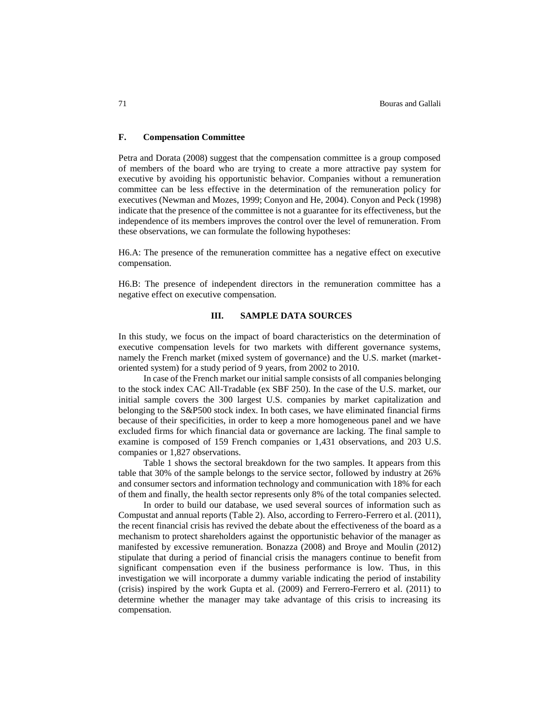## **F. Compensation Committee**

Petra and Dorata (2008) suggest that the compensation committee is a group composed of members of the board who are trying to create a more attractive pay system for executive by avoiding his opportunistic behavior. Companies without a remuneration committee can be less effective in the determination of the remuneration policy for executives (Newman and Mozes, 1999; Conyon and He, 2004). Conyon and Peck (1998) indicate that the presence of the committee is not a guarantee for its effectiveness, but the independence of its members improves the control over the level of remuneration. From these observations, we can formulate the following hypotheses:

H6.A: The presence of the remuneration committee has a negative effect on executive compensation.

H6.B: The presence of independent directors in the remuneration committee has a negative effect on executive compensation.

## **III. SAMPLE DATA SOURCES**

In this study, we focus on the impact of board characteristics on the determination of executive compensation levels for two markets with different governance systems, namely the French market (mixed system of governance) and the U.S. market (marketoriented system) for a study period of 9 years, from 2002 to 2010.

In case of the French market our initial sample consists of all companies belonging to the stock index CAC All-Tradable (ex SBF 250). In the case of the U.S. market, our initial sample covers the 300 largest U.S. companies by market capitalization and belonging to the S&P500 stock index. In both cases, we have eliminated financial firms because of their specificities, in order to keep a more homogeneous panel and we have excluded firms for which financial data or governance are lacking. The final sample to examine is composed of 159 French companies or 1,431 observations, and 203 U.S. companies or 1,827 observations.

Table 1 shows the sectoral breakdown for the two samples. It appears from this table that 30% of the sample belongs to the service sector, followed by industry at 26% and consumer sectors and information technology and communication with 18% for each of them and finally, the health sector represents only 8% of the total companies selected.

In order to build our database, we used several sources of information such as Compustat and annual reports (Table 2). Also, according to Ferrero-Ferrero et al. (2011), the recent financial crisis has revived the debate about the effectiveness of the board as a mechanism to protect shareholders against the opportunistic behavior of the manager as manifested by excessive remuneration. Bonazza (2008) and Broye and Moulin (2012) stipulate that during a period of financial crisis the managers continue to benefit from significant compensation even if the business performance is low. Thus, in this investigation we will incorporate a dummy variable indicating the period of instability (crisis) inspired by the work Gupta et al. (2009) and Ferrero-Ferrero et al. (2011) to determine whether the manager may take advantage of this crisis to increasing its compensation.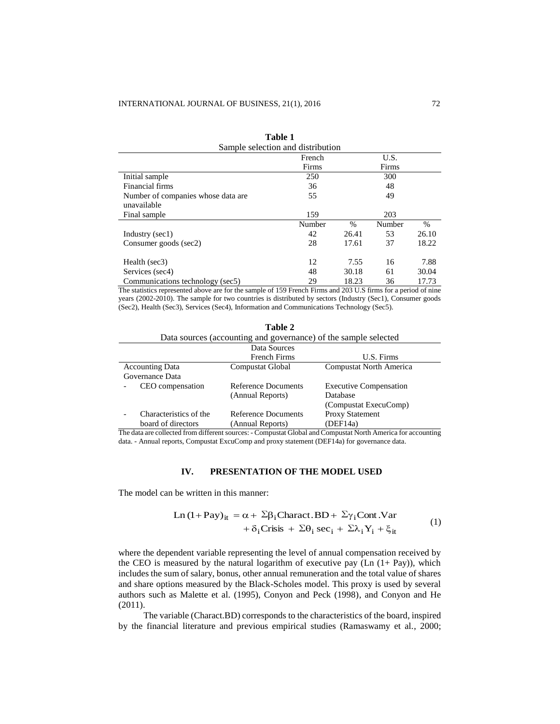| таріе т                             |        |               |        |       |  |  |  |
|-------------------------------------|--------|---------------|--------|-------|--|--|--|
| Sample selection and distribution   |        |               |        |       |  |  |  |
| U.S.<br>French                      |        |               |        |       |  |  |  |
|                                     | Firms  |               | Firms  |       |  |  |  |
| Initial sample                      | 250    |               | 300    |       |  |  |  |
| Financial firms                     | 36     |               | 48     |       |  |  |  |
| Number of companies whose data are. | 55     |               | 49     |       |  |  |  |
| unavailable                         |        |               |        |       |  |  |  |
| Final sample                        | 159    |               | 203    |       |  |  |  |
|                                     | Number | $\frac{0}{0}$ | Number | $\%$  |  |  |  |
| Industry (sec1)                     | 42     | 26.41         | 53     | 26.10 |  |  |  |
| Consumer goods (sec2)               | 28     | 17.61         | 37     | 18.22 |  |  |  |
|                                     |        |               |        |       |  |  |  |
| Health (sec3)                       | 12     | 7.55          | 16     | 7.88  |  |  |  |
| Services (sec4)                     | 48     | 30.18         | 61     | 30.04 |  |  |  |
| Communications technology (sec5)    | 29     | 18.23         | 36     | 17.73 |  |  |  |

**Table 1** 

The statistics represented above are for the sample of 159 French Firms and 203 U.S firms for a period of nine years (2002-2010). The sample for two countries is distributed by sectors (Industry (Sec1), Consumer goods (Sec2), Health (Sec3), Services (Sec4), Information and Communications Technology (Sec5).

**Table 2**

|                                                                 | Tame 2              |                                                                        |  |  |  |
|-----------------------------------------------------------------|---------------------|------------------------------------------------------------------------|--|--|--|
| Data sources (accounting and governance) of the sample selected |                     |                                                                        |  |  |  |
|                                                                 | Data Sources        |                                                                        |  |  |  |
|                                                                 | French Firms        | U.S. Firms                                                             |  |  |  |
| <b>Accounting Data</b>                                          | Compustat Global    | Compustat North America                                                |  |  |  |
| Governance Data                                                 |                     |                                                                        |  |  |  |
| CEO compensation                                                | Reference Documents | <b>Executive Compensation</b>                                          |  |  |  |
|                                                                 | (Annual Reports)    | Database                                                               |  |  |  |
|                                                                 |                     | (Compustat ExecuComp)                                                  |  |  |  |
| Characteristics of the                                          | Reference Documents | <b>Proxy Statement</b>                                                 |  |  |  |
| board of directors                                              | (Annual Reports)    | (DEF14a)                                                               |  |  |  |
|                                                                 |                     | $\mathbf{m}$ is the form of south to satisfy the state of $\mathbf{r}$ |  |  |  |

The data are collected from different sources: - Compustat Global and Compustat North America for accounting data. - Annual reports, Compustat ExcuComp and proxy statement (DEF14a) for governance data.

## **IV. PRESENTATION OF THE MODEL USED**

The model can be written in this manner:

Ln (1+Pay)<sub>it</sub> = 
$$
\alpha + \Sigma \beta_i
$$
Charact.BD +  $\Sigma \gamma_i$ Cont.Var  
+  $\delta_i$ Crisis +  $\Sigma \theta_i$  sec<sub>i</sub> +  $\Sigma \lambda_i$  Y<sub>i</sub> +  $\xi_{it}$  (1)

where the dependent variable representing the level of annual compensation received by the CEO is measured by the natural logarithm of executive pay  $(Ln (1+Pay))$ , which includes the sum of salary, bonus, other annual remuneration and the total value of shares and share options measured by the Black-Scholes model. This proxy is used by several authors such as Malette et al. (1995), Conyon and Peck (1998), and Conyon and He (2011).

The variable (Charact.BD) corresponds to the characteristics of the board, inspired by the financial literature and previous empirical studies (Ramaswamy et al., 2000;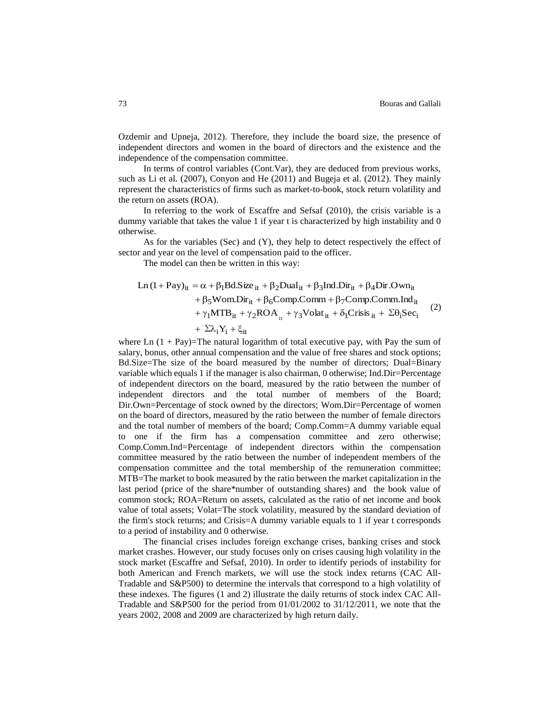Ozdemir and Upneja, 2012). Therefore, they include the board size, the presence of independent directors and women in the board of directors and the existence and the independence of the compensation committee.

In terms of control variables (Cont.Var), they are deduced from previous works, such as Li et al. (2007), Conyon and He (2011) and Bugeja et al. (2012). They mainly represent the characteristics of firms such as market-to-book, stock return volatility and the return on assets (ROA).

In referring to the work of Escaffre and Sefsaf (2010), the crisis variable is a dummy variable that takes the value 1 if year t is characterized by high instability and 0 otherwise.

As for the variables (Sec) and (Y), they help to detect respectively the effect of sector and year on the level of compensation paid to the officer.

The model can then be written in this way:

Ln (1 + Pay)<sub>it</sub> = 
$$
\alpha + \beta_1 Bd.Size_{it} + \beta_2 Dual_{it} + \beta_3 Ind.Dir_{it} + \beta_4 Dir. Own_{it}
$$
  
+  $\beta_5 Wom.Dir_{it} + \beta_6 Comp. Comm + \beta_7 Comp. Comm. Ind_{it}$   
+  $\gamma_1 MTB_{it} + \gamma_2 ROA_{it} + \gamma_3 Volat_{it} + \delta_1 Crisis_{it} + \Sigma \theta_i Sec_i$  (2)  
+  $\Sigma \lambda_i Y_i + \xi_{it}$ 

where Ln  $(1 + Pay)$ =The natural logarithm of total executive pay, with Pay the sum of salary, bonus, other annual compensation and the value of free shares and stock options; Bd.Size=The size of the board measured by the number of directors; Dual=Binary variable which equals 1 if the manager is also chairman, 0 otherwise; Ind.Dir=Percentage of independent directors on the board, measured by the ratio between the number of independent directors and the total number of members of the Board; Dir.Own=Percentage of stock owned by the directors; Wom.Dir=Percentage of women on the board of directors, measured by the ratio between the number of female directors and the total number of members of the board; Comp.Comm=A dummy variable equal to one if the firm has a compensation committee and zero otherwise; Comp.Comm.Ind=Percentage of independent directors within the compensation committee measured by the ratio between the number of independent members of the compensation committee and the total membership of the remuneration committee; MTB=The market to book measured by the ratio between the market capitalization in the last period (price of the share\*number of outstanding shares) and the book value of common stock; ROA=Return on assets, calculated as the ratio of net income and book value of total assets; Volat=The stock volatility, measured by the standard deviation of the firm's stock returns; and Crisis=A dummy variable equals to 1 if year t corresponds to a period of instability and 0 otherwise.

The financial crises includes foreign exchange crises, banking crises and stock market crashes. However, our study focuses only on crises causing high volatility in the stock market (Escaffre and Sefsaf, 2010). In order to identify periods of instability for both American and French markets, we will use the stock index returns (CAC All-Tradable and S&P500) to determine the intervals that correspond to a high volatility of these indexes. The figures (1 and 2) illustrate the daily returns of stock index CAC All-Tradable and S&P500 for the period from  $01/01/2002$  to  $31/12/2011$ , we note that the years 2002, 2008 and 2009 are characterized by high return daily.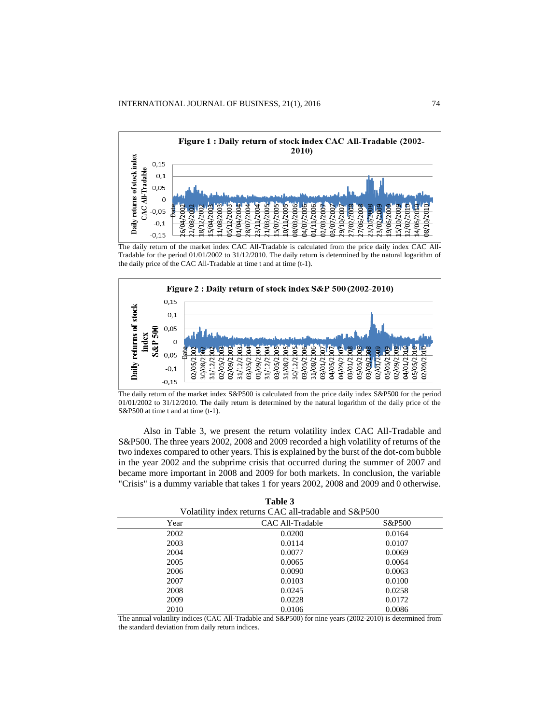

The daily return of the market index CAC All-Tradable is calculated from the price daily index CAC All-Tradable for the period 01/01/2002 to 31/12/2010. The daily return is determined by the natural logarithm of the daily price of the CAC All-Tradable at time t and at time (t-1).



The daily return of the market index S&P500 is calculated from the price daily index S&P500 for the period 01/01/2002 to 31/12/2010. The daily return is determined by the natural logarithm of the daily price of the S&P500 at time t and at time (t-1).

Also in Table 3, we present the return volatility index CAC All-Tradable and S&P500. The three years 2002, 2008 and 2009 recorded a high volatility of returns of the two indexes compared to other years. This is explained by the burst of the dot-com bubble in the year 2002 and the subprime crisis that occurred during the summer of 2007 and became more important in 2008 and 2009 for both markets. In conclusion, the variable "Crisis" is a dummy variable that takes 1 for years 2002, 2008 and 2009 and 0 otherwise.

| Volatility index returns CAC all-tradable and S&P500 |                  |                   |  |  |
|------------------------------------------------------|------------------|-------------------|--|--|
| Year                                                 | CAC All-Tradable | <b>S&amp;P500</b> |  |  |
| 2002                                                 | 0.0200           | 0.0164            |  |  |
| 2003                                                 | 0.0114           | 0.0107            |  |  |
| 2004                                                 | 0.0077           | 0.0069            |  |  |
| 2005                                                 | 0.0065           | 0.0064            |  |  |
| 2006                                                 | 0.0090           | 0.0063            |  |  |
| 2007                                                 | 0.0103           | 0.0100            |  |  |
| 2008                                                 | 0.0245           | 0.0258            |  |  |
| 2009                                                 | 0.0228           | 0.0172            |  |  |
| 2010                                                 | 0.0106           | 0.0086            |  |  |

| Table 3                                              |  |
|------------------------------------------------------|--|
| Volatility index returns CAC all-tradable and S&P500 |  |

The annual volatility indices (CAC All-Tradable and S&P500) for nine years (2002-2010) is determined from the standard deviation from daily return indices.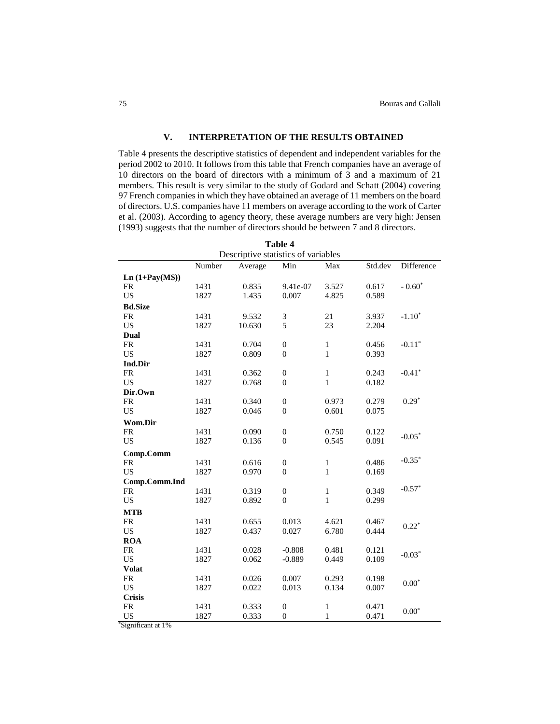# **V. INTERPRETATION OF THE RESULTS OBTAINED**

Table 4 presents the descriptive statistics of dependent and independent variables for the period 2002 to 2010. It follows from this table that French companies have an average of 10 directors on the board of directors with a minimum of 3 and a maximum of 21 members. This result is very similar to the study of Godard and Schatt (2004) covering 97 French companies in which they have obtained an average of 11 members on the board of directors. U.S. companies have 11 members on average according to the work of Carter et al. (2003). According to agency theory, these average numbers are very high: Jensen (1993) suggests that the number of directors should be between 7 and 8 directors.

| Table 4                             |        |         |                  |              |         |            |
|-------------------------------------|--------|---------|------------------|--------------|---------|------------|
| Descriptive statistics of variables |        |         |                  |              |         |            |
|                                     | Number | Average | Min              | Max          | Std.dev | Difference |
| $Ln(1+Pay(M$))$                     |        |         |                  |              |         |            |
| <b>FR</b>                           | 1431   | 0.835   | 9.41e-07         | 3.527        | 0.617   | $-0.60*$   |
| <b>US</b>                           | 1827   | 1.435   | 0.007            | 4.825        | 0.589   |            |
| <b>Bd.Size</b>                      |        |         |                  |              |         |            |
| <b>FR</b>                           | 1431   | 9.532   | 3                | 21           | 3.937   | $-1.10*$   |
| <b>US</b>                           | 1827   | 10.630  | 5                | 23           | 2.204   |            |
| Dual                                |        |         |                  |              |         |            |
| <b>FR</b>                           | 1431   | 0.704   | $\boldsymbol{0}$ | $\,1$        | 0.456   | $-0.11*$   |
| <b>US</b>                           | 1827   | 0.809   | $\overline{0}$   | $\mathbf{1}$ | 0.393   |            |
| Ind.Dir                             |        |         |                  |              |         |            |
| <b>FR</b>                           | 1431   | 0.362   | $\boldsymbol{0}$ | $\mathbf{1}$ | 0.243   | $-0.41*$   |
| <b>US</b>                           | 1827   | 0.768   | $\boldsymbol{0}$ | $\mathbf{1}$ | 0.182   |            |
| Dir.Own                             |        |         |                  |              |         |            |
| <b>FR</b>                           | 1431   | 0.340   | $\boldsymbol{0}$ | 0.973        | 0.279   | $0.29*$    |
| <b>US</b>                           | 1827   | 0.046   | $\boldsymbol{0}$ | 0.601        | 0.075   |            |
| Wom.Dir                             |        |         |                  |              |         |            |
| <b>FR</b>                           | 1431   | 0.090   | $\boldsymbol{0}$ | 0.750        | 0.122   | $-0.05*$   |
| <b>US</b>                           | 1827   | 0.136   | $\boldsymbol{0}$ | 0.545        | 0.091   |            |
| Comp.Comm                           |        |         |                  |              |         |            |
| <b>FR</b>                           | 1431   | 0.616   | $\boldsymbol{0}$ | $\,1$        | 0.486   | $-0.35*$   |
| <b>US</b>                           | 1827   | 0.970   | $\overline{0}$   | $\mathbf{1}$ | 0.169   |            |
| Comp.Comm.Ind                       |        |         |                  |              |         |            |
| <b>FR</b>                           | 1431   | 0.319   | $\boldsymbol{0}$ | $\,1$        | 0.349   | $-0.57*$   |
| <b>US</b>                           | 1827   | 0.892   | $\overline{0}$   | $\mathbf{1}$ | 0.299   |            |
| <b>MTB</b>                          |        |         |                  |              |         |            |
| <b>FR</b>                           | 1431   | 0.655   | 0.013            | 4.621        | 0.467   |            |
| <b>US</b>                           | 1827   | 0.437   | 0.027            | 6.780        | 0.444   | $0.22*$    |
| <b>ROA</b>                          |        |         |                  |              |         |            |
| <b>FR</b>                           | 1431   | 0.028   | $-0.808$         | 0.481        | 0.121   |            |
| <b>US</b>                           | 1827   | 0.062   | $-0.889$         | 0.449        | 0.109   | $-0.03*$   |
| <b>Volat</b>                        |        |         |                  |              |         |            |
| <b>FR</b>                           | 1431   | 0.026   | 0.007            | 0.293        | 0.198   | $0.00*$    |
| <b>US</b>                           | 1827   | 0.022   | 0.013            | 0.134        | 0.007   |            |
| <b>Crisis</b>                       |        |         |                  |              |         |            |
| <b>FR</b>                           | 1431   | 0.333   | $\boldsymbol{0}$ | $\,1$        | 0.471   | $0.00*$    |
| <b>US</b>                           | 1827   | 0.333   | $\boldsymbol{0}$ | $\mathbf{1}$ | 0.471   |            |

\*Significant at 1%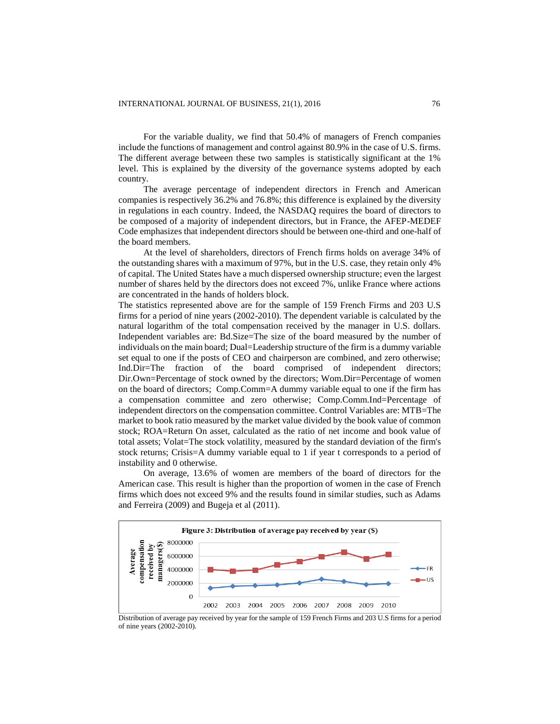For the variable duality, we find that 50.4% of managers of French companies include the functions of management and control against 80.9% in the case of U.S. firms. The different average between these two samples is statistically significant at the 1% level. This is explained by the diversity of the governance systems adopted by each country.

The average percentage of independent directors in French and American companies is respectively 36.2% and 76.8%; this difference is explained by the diversity in regulations in each country. Indeed, the NASDAQ requires the board of directors to be composed of a majority of independent directors, but in France, the AFEP-MEDEF Code emphasizes that independent directors should be between one-third and one-half of the board members.

At the level of shareholders, directors of French firms holds on average 34% of the outstanding shares with a maximum of 97%, but in the U.S. case, they retain only 4% of capital. The United States have a much dispersed ownership structure; even the largest number of shares held by the directors does not exceed 7%, unlike France where actions are concentrated in the hands of holders block.

The statistics represented above are for the sample of 159 French Firms and 203 U.S firms for a period of nine years (2002-2010). The dependent variable is calculated by the natural logarithm of the total compensation received by the manager in U.S. dollars. Independent variables are: Bd.Size=The size of the board measured by the number of individuals on the main board; Dual=Leadership structure of the firm is a dummy variable set equal to one if the posts of CEO and chairperson are combined, and zero otherwise; Ind.Dir=The fraction of the board comprised of independent directors; Dir.Own=Percentage of stock owned by the directors; Wom.Dir=Percentage of women on the board of directors; Comp.Comm=A dummy variable equal to one if the firm has a compensation committee and zero otherwise; Comp.Comm.Ind=Percentage of independent directors on the compensation committee. Control Variables are: MTB=The market to book ratio measured by the market value divided by the book value of common stock; ROA=Return On asset, calculated as the ratio of net income and book value of total assets; Volat=The stock volatility, measured by the standard deviation of the firm's stock returns; Crisis=A dummy variable equal to 1 if year t corresponds to a period of instability and 0 otherwise.

On average, 13.6% of women are members of the board of directors for the American case. This result is higher than the proportion of women in the case of French firms which does not exceed 9% and the results found in similar studies, such as Adams and Ferreira (2009) and Bugeja et al (2011).



Distribution of average pay received by year for the sample of 159 French Firms and 203 U.S firms for a period of nine years (2002-2010).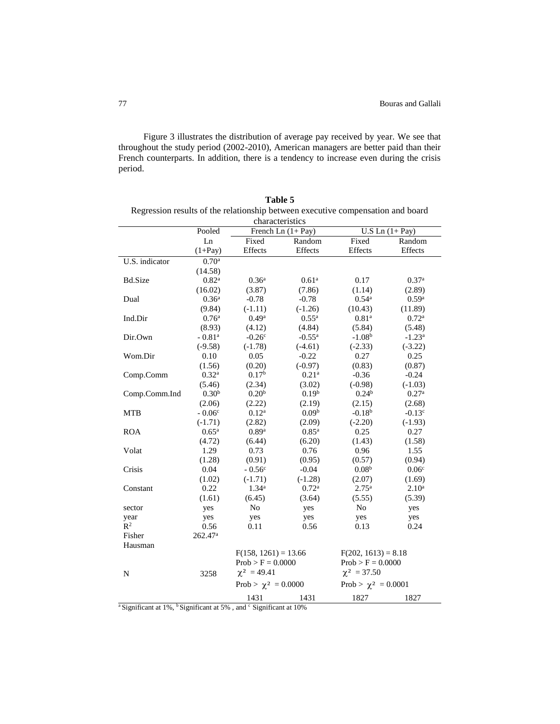Figure 3 illustrates the distribution of average pay received by year. We see that throughout the study period (2002-2010), American managers are better paid than their French counterparts. In addition, there is a tendency to increase even during the crisis period.

|                                                                                 |                      |                     | таріє э           |                   |                   |  |
|---------------------------------------------------------------------------------|----------------------|---------------------|-------------------|-------------------|-------------------|--|
| Regression results of the relationship between executive compensation and board |                      |                     |                   |                   |                   |  |
|                                                                                 |                      | characteristics     |                   |                   |                   |  |
|                                                                                 | Pooled               | French Ln $(1+Pay)$ |                   |                   | U.S Ln $(1+Pay)$  |  |
|                                                                                 | Ln                   | Fixed               | Random            | Fixed             | Random            |  |
|                                                                                 | $(1+Pay)$            | Effects             | Effects           | Effects           | Effects           |  |
| U.S. indicator                                                                  | 0.70 <sup>a</sup>    |                     |                   |                   |                   |  |
|                                                                                 | (14.58)              |                     |                   |                   |                   |  |
| <b>Bd.Size</b>                                                                  | 0.82 <sup>a</sup>    | 0.36 <sup>a</sup>   | 0.61 <sup>a</sup> | 0.17              | 0.37 <sup>a</sup> |  |
|                                                                                 | (16.02)              | (3.87)              | (7.86)            | (1.14)            | (2.89)            |  |
| Dual                                                                            | 0.36 <sup>a</sup>    | $-0.78$             | $-0.78$           | $0.54^{\rm a}$    | 0.59 <sup>a</sup> |  |
|                                                                                 | (9.84)               | $(-1.11)$           | $(-1.26)$         | (10.43)           | (11.89)           |  |
| Ind.Dir                                                                         | 0.76 <sup>a</sup>    | 0.49 <sup>a</sup>   | $0.55^{\rm a}$    | 0.81 <sup>a</sup> | 0.72 <sup>a</sup> |  |
|                                                                                 | (8.93)               | (4.12)              | (4.84)            | (5.84)            | (5.48)            |  |
| Dir.Own                                                                         | $-0.81$ <sup>a</sup> | $-0.26^{\circ}$     | $-0.55^{\rm a}$   | $-1.08b$          | $-1.23^{\rm a}$   |  |
|                                                                                 | $(-9.58)$            | $(-1.78)$           | $(-4.61)$         | $(-2.33)$         | $(-3.22)$         |  |
| Wom.Dir                                                                         | 0.10                 | 0.05                | $-0.22$           | 0.27              | 0.25              |  |
|                                                                                 | (1.56)               | (0.20)              | $(-0.97)$         | (0.83)            | (0.87)            |  |
| Comp.Comm                                                                       | 0.32 <sup>a</sup>    | 0.17 <sup>b</sup>   | 0.21 <sup>a</sup> | $-0.36$           | $-0.24$           |  |
|                                                                                 | (5.46)               | (2.34)              | (3.02)            | $(-0.98)$         | $(-1.03)$         |  |
| Comp.Comm.Ind                                                                   | 0.30 <sup>b</sup>    | 0.20 <sup>b</sup>   | 0.19 <sup>b</sup> | 0.24 <sup>b</sup> | 0.27 <sup>a</sup> |  |

 (2.19)  $0.09<sup>b</sup>$  (2.09)  $0.85$ <sup>a</sup> (6.20) 0.76 (0.95) -0.04 (-1.28) 0.72<sup>a</sup> (3.64) yes yes 0.56

 (2.15)  $-0.18^{b}$ (-2.20) 0.25 (1.43) 0.96 (0.57)  $0.08<sup>b</sup>$  (2.07) 2.75<sup>a</sup> (5.55) No yes 0.13

 $F(202, 1613) = 8.18$  $\mathrm{Prob}>\mathrm{F}=0.0000$  $\chi^2$  = 37.50 Prob >  $\chi^2$  = 0.0001

1431 1827 1827

 (2.68)  $-0.13c$ (-1.93) 0.27 (1.58) 1.55 (0.94)  $0.06c$  (1.69) 2.10<sup>a</sup> (5.39) yes yes 0.24

(2.22) 0.12<sup>a</sup> (2.82) 0.89 a (6.44) 0.73 (0.91)  $- 0.56^{\circ}$ (-1.71) 1.34<sup>a</sup> (6.45) No yes 0.11

 $F(158, 1261) = 13.66$  $\mathrm{Prob}>\mathrm{F}=0.0000$  $\chi^2$  = 49.41 Prob >  $\chi^2$  = 0.0000

| Table 5                                                                         |
|---------------------------------------------------------------------------------|
| Regression results of the relationship between executive compensation and board |
| charactoristics                                                                 |

<sup>a</sup> Significant at 1%, <sup>b</sup> Significant at 5%, and  $\frac{c}{ }$  Significant at 10%

3258

(2.06) -  $0.06^{\rm c}$ (-1.71)  $0.65^{\rm a}$ (4.72) 1.29 (1.28) 0.04 (1.02) 0.22 (1.61) yes yes 0.56 262.47<sup>a</sup>

MTB

ROA

Volat

Crisis

sector year  $R^2$ Fisher Hausman

N

Constant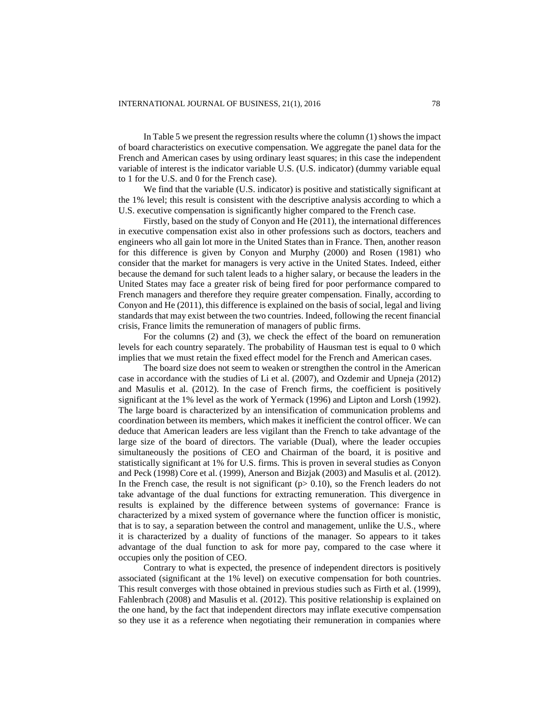In Table 5 we present the regression results where the column (1) shows the impact of board characteristics on executive compensation. We aggregate the panel data for the French and American cases by using ordinary least squares; in this case the independent variable of interest is the indicator variable U.S. (U.S. indicator) (dummy variable equal to 1 for the U.S. and 0 for the French case).

We find that the variable (U.S. indicator) is positive and statistically significant at the 1% level; this result is consistent with the descriptive analysis according to which a U.S. executive compensation is significantly higher compared to the French case.

Firstly, based on the study of Conyon and He (2011), the international differences in executive compensation exist also in other professions such as doctors, teachers and engineers who all gain lot more in the United States than in France. Then, another reason for this difference is given by Conyon and Murphy (2000) and Rosen (1981) who consider that the market for managers is very active in the United States. Indeed, either because the demand for such talent leads to a higher salary, or because the leaders in the United States may face a greater risk of being fired for poor performance compared to French managers and therefore they require greater compensation. Finally, according to Conyon and He (2011), this difference is explained on the basis of social, legal and living standards that may exist between the two countries. Indeed, following the recent financial crisis, France limits the remuneration of managers of public firms.

For the columns (2) and (3), we check the effect of the board on remuneration levels for each country separately. The probability of Hausman test is equal to 0 which implies that we must retain the fixed effect model for the French and American cases.

The board size does not seem to weaken or strengthen the control in the American case in accordance with the studies of Li et al. (2007), and Ozdemir and Upneja (2012) and Masulis et al. (2012). In the case of French firms, the coefficient is positively significant at the 1% level as the work of Yermack (1996) and Lipton and Lorsh (1992). The large board is characterized by an intensification of communication problems and coordination between its members, which makes it inefficient the control officer. We can deduce that American leaders are less vigilant than the French to take advantage of the large size of the board of directors. The variable (Dual), where the leader occupies simultaneously the positions of CEO and Chairman of the board, it is positive and statistically significant at 1% for U.S. firms. This is proven in several studies as Conyon and Peck (1998) Core et al. (1999), Anerson and Bizjak (2003) and Masulis et al. (2012). In the French case, the result is not significant ( $p > 0.10$ ), so the French leaders do not take advantage of the dual functions for extracting remuneration. This divergence in results is explained by the difference between systems of governance: France is characterized by a mixed system of governance where the function officer is monistic, that is to say, a separation between the control and management, unlike the U.S., where it is characterized by a duality of functions of the manager. So appears to it takes advantage of the dual function to ask for more pay, compared to the case where it occupies only the position of CEO.

Contrary to what is expected, the presence of independent directors is positively associated (significant at the 1% level) on executive compensation for both countries. This result converges with those obtained in previous studies such as Firth et al. (1999), Fahlenbrach (2008) and Masulis et al. (2012). This positive relationship is explained on the one hand, by the fact that independent directors may inflate executive compensation so they use it as a reference when negotiating their remuneration in companies where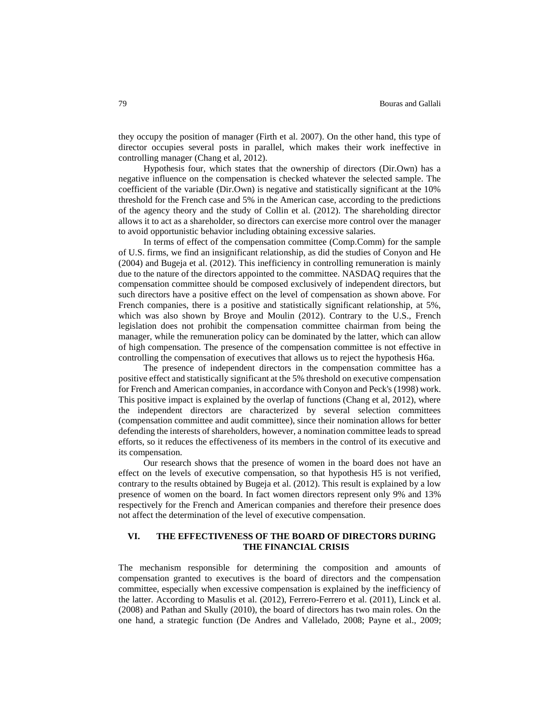they occupy the position of manager (Firth et al. 2007). On the other hand, this type of director occupies several posts in parallel, which makes their work ineffective in controlling manager (Chang et al, 2012).

Hypothesis four, which states that the ownership of directors (Dir.Own) has a negative influence on the compensation is checked whatever the selected sample. The coefficient of the variable (Dir.Own) is negative and statistically significant at the 10% threshold for the French case and 5% in the American case, according to the predictions of the agency theory and the study of Collin et al. (2012). The shareholding director allows it to act as a shareholder, so directors can exercise more control over the manager to avoid opportunistic behavior including obtaining excessive salaries.

In terms of effect of the compensation committee (Comp.Comm) for the sample of U.S. firms, we find an insignificant relationship, as did the studies of Conyon and He (2004) and Bugeja et al. (2012). This inefficiency in controlling remuneration is mainly due to the nature of the directors appointed to the committee. NASDAQ requires that the compensation committee should be composed exclusively of independent directors, but such directors have a positive effect on the level of compensation as shown above. For French companies, there is a positive and statistically significant relationship, at 5%, which was also shown by Broye and Moulin (2012). Contrary to the U.S., French legislation does not prohibit the compensation committee chairman from being the manager, while the remuneration policy can be dominated by the latter, which can allow of high compensation. The presence of the compensation committee is not effective in controlling the compensation of executives that allows us to reject the hypothesis H6a.

The presence of independent directors in the compensation committee has a positive effect and statistically significant at the 5% threshold on executive compensation for French and American companies, in accordance with Conyon and Peck's (1998) work. This positive impact is explained by the overlap of functions (Chang et al, 2012), where the independent directors are characterized by several selection committees (compensation committee and audit committee), since their nomination allows for better defending the interests of shareholders, however, a nomination committee leads to spread efforts, so it reduces the effectiveness of its members in the control of its executive and its compensation.

Our research shows that the presence of women in the board does not have an effect on the levels of executive compensation, so that hypothesis H5 is not verified, contrary to the results obtained by Bugeja et al. (2012). This result is explained by a low presence of women on the board. In fact women directors represent only 9% and 13% respectively for the French and American companies and therefore their presence does not affect the determination of the level of executive compensation.

## **VI. THE EFFECTIVENESS OF THE BOARD OF DIRECTORS DURING THE FINANCIAL CRISIS**

The mechanism responsible for determining the composition and amounts of compensation granted to executives is the board of directors and the compensation committee, especially when excessive compensation is explained by the inefficiency of the latter. According to Masulis et al. (2012), Ferrero-Ferrero et al. (2011), Linck et al. (2008) and Pathan and Skully (2010), the board of directors has two main roles. On the one hand, a strategic function (De Andres and Vallelado, 2008; Payne et al., 2009;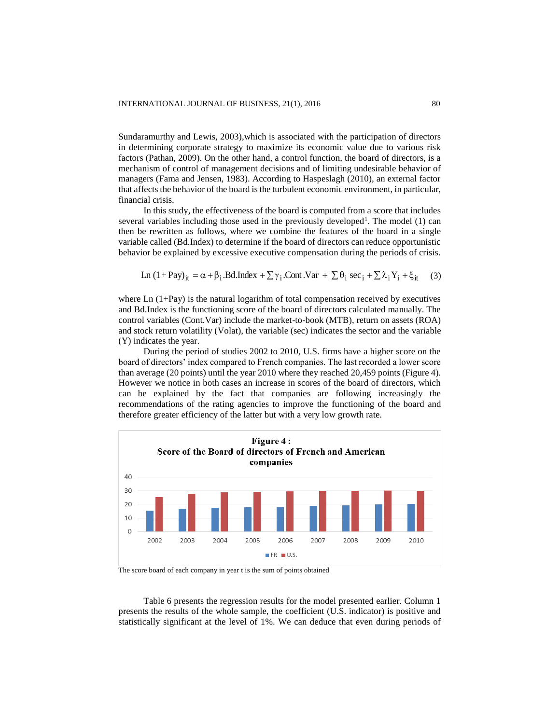Sundaramurthy and Lewis, 2003),which is associated with the participation of directors in determining corporate strategy to maximize its economic value due to various risk factors (Pathan, 2009). On the other hand, a control function, the board of directors, is a mechanism of control of management decisions and of limiting undesirable behavior of managers (Fama and Jensen, 1983). According to Haspeslagh (2010), an external factor that affects the behavior of the board is the turbulent economic environment, in particular, financial crisis.

In this study, the effectiveness of the board is computed from a score that includes several variables including those used in the previously developed<sup>1</sup>. The model  $(1)$  can then be rewritten as follows, where we combine the features of the board in a single variable called (Bd.Index) to determine if the board of directors can reduce opportunistic behavior be explained by excessive executive compensation during the periods of crisis.

Ln (1+Pay)<sub>it</sub> = 
$$
\alpha + \beta_i
$$
.Bd.Index +  $\sum \gamma_i$ .Cont. Var +  $\sum \theta_i$  sec<sub>i</sub> +  $\sum \lambda_i Y_i$  +  $\xi_{it}$  (3)

where  $\text{Ln}(1+\text{Pay})$  is the natural logarithm of total compensation received by executives and Bd.Index is the functioning score of the board of directors calculated manually. The control variables (Cont.Var) include the market-to-book (MTB), return on assets (ROA) and stock return volatility (Volat), the variable (sec) indicates the sector and the variable (Y) indicates the year.

During the period of studies 2002 to 2010, U.S. firms have a higher score on the board of directors' index compared to French companies. The last recorded a lower score than average (20 points) until the year 2010 where they reached 20,459 points (Figure 4). However we notice in both cases an increase in scores of the board of directors, which can be explained by the fact that companies are following increasingly the recommendations of the rating agencies to improve the functioning of the board and therefore greater efficiency of the latter but with a very low growth rate.



The score board of each company in year t is the sum of points obtained

Table 6 presents the regression results for the model presented earlier. Column 1 presents the results of the whole sample, the coefficient (U.S. indicator) is positive and statistically significant at the level of 1%. We can deduce that even during periods of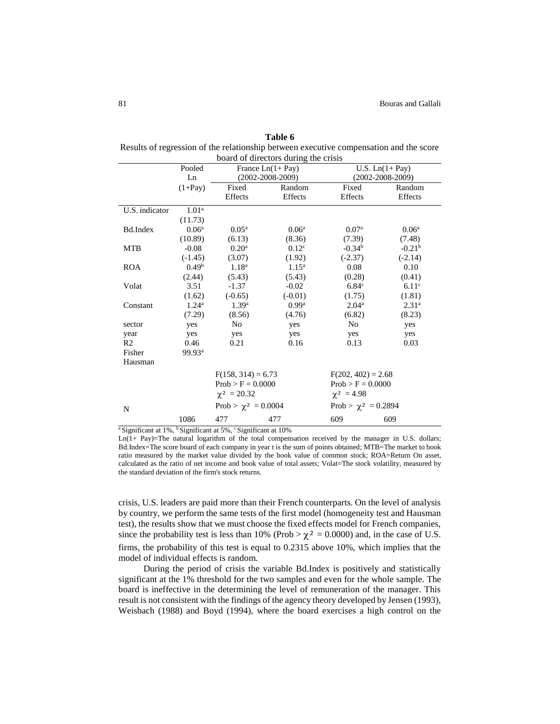| board of directors during the crisis |                    |                          |                     |                          |                        |  |  |
|--------------------------------------|--------------------|--------------------------|---------------------|--------------------------|------------------------|--|--|
|                                      | Pooled             | France $Ln(1+Pay)$       |                     |                          | U.S. $Ln(1+Pay)$       |  |  |
|                                      | Ln                 | $(2002 - 2008 - 2009)$   |                     |                          | $(2002 - 2008 - 2009)$ |  |  |
|                                      | $(1+Pay)$          | Fixed                    | Random              | Fixed                    | Random                 |  |  |
|                                      |                    | Effects                  | Effects             | Effects                  | Effects                |  |  |
| U.S. indicator                       | 1.01 <sup>a</sup>  |                          |                     |                          |                        |  |  |
|                                      | (11.73)            |                          |                     |                          |                        |  |  |
| Bd.Index                             | 0.06 <sup>a</sup>  | $0.05^{\rm a}$           | 0.06 <sup>a</sup>   | 0.07 <sup>a</sup>        | 0.06 <sup>a</sup>      |  |  |
|                                      | (10.89)            | (6.13)                   | (8.36)              | (7.39)                   | (7.48)                 |  |  |
| <b>MTB</b>                           | $-0.08$            | 0.20 <sup>a</sup>        | 0.12 <sup>c</sup>   | $-0.34b$                 | $-0.21b$               |  |  |
|                                      | $(-1.45)$          | (3.07)                   | (1.92)              | $(-2.37)$                | $(-2.14)$              |  |  |
| <b>ROA</b>                           | 0.49 <sup>b</sup>  | 1.18 <sup>a</sup>        | $1.15^{\rm a}$      | 0.08                     | 0.10                   |  |  |
|                                      | (2.44)             | (5.43)                   | (5.43)              | (0.28)                   | (0.41)                 |  |  |
| Volat                                | 3.51               | $-1.37$                  | $-0.02$             | 6.84 <sup>c</sup>        | 6.11 <sup>c</sup>      |  |  |
|                                      | (1.62)             | $(-0.65)$                | $(-0.01)$           | (1.75)                   | (1.81)                 |  |  |
| Constant                             | $1.24^{\rm a}$     | 1.39 <sup>a</sup>        | $0.99$ <sup>a</sup> | 2.04 <sup>a</sup>        | 2.31 <sup>a</sup>      |  |  |
|                                      | (7.29)             | (8.56)                   | (4.76)              | (6.82)                   | (8.23)                 |  |  |
| sector                               | yes                | No                       | yes                 | N <sub>0</sub>           | yes                    |  |  |
| year                                 | yes                | yes                      | yes                 | yes                      | yes                    |  |  |
| R <sub>2</sub>                       | 0.46               | 0.21                     | 0.16                | 0.13                     | 0.03                   |  |  |
| Fisher                               | 99.93 <sup>a</sup> |                          |                     |                          |                        |  |  |
| Hausman                              |                    |                          |                     |                          |                        |  |  |
|                                      |                    | $F(158, 314) = 6.73$     |                     | $F(202, 402) = 2.68$     |                        |  |  |
|                                      |                    | $Prob > F = 0.0000$      |                     | $Prob > F = 0.0000$      |                        |  |  |
|                                      |                    | $\chi^2 = 20.32$         |                     |                          | $\chi^2 = 4.98$        |  |  |
| N                                    |                    | Prob > $\chi^2$ = 0.0004 |                     | Prob > $\chi^2$ = 0.2894 |                        |  |  |
|                                      | 1086               | 477                      | 477                 | 609                      | 609                    |  |  |

**Table 6** Results of regression of the relationship between executive compensation and the score

<sup>a</sup> Significant at 1%, <sup>b</sup> Significant at 5%,  $\degree$  Significant at 10%

Ln(1+ Pay)=The natural logarithm of the total compensation received by the manager in U.S. dollars; Bd.Index=The score board of each company in year t is the sum of points obtained; MTB=The market to book ratio measured by the market value divided by the book value of common stock; ROA=Return On asset, calculated as the ratio of net income and book value of total assets; Volat=The stock volatility, measured by the standard deviation of the firm's stock returns.

crisis, U.S. leaders are paid more than their French counterparts. On the level of analysis by country, we perform the same tests of the first model (homogeneity test and Hausman test), the results show that we must choose the fixed effects model for French companies, since the probability test is less than 10% (Prob  $>\chi^2 = 0.0000$ ) and, in the case of U.S. firms, the probability of this test is equal to 0.2315 above 10%, which implies that the model of individual effects is random.

During the period of crisis the variable Bd.Index is positively and statistically significant at the 1% threshold for the two samples and even for the whole sample. The board is ineffective in the determining the level of remuneration of the manager. This result is not consistent with the findings of the agency theory developed by Jensen (1993), Weisbach (1988) and Boyd (1994), where the board exercises a high control on the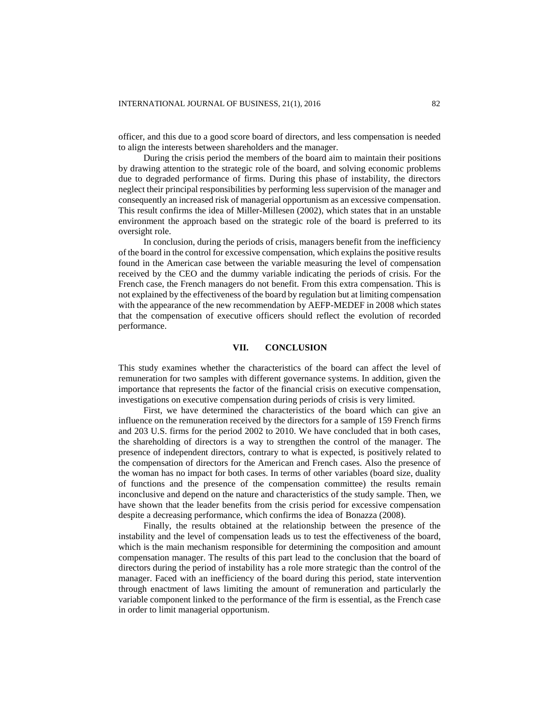officer, and this due to a good score board of directors, and less compensation is needed to align the interests between shareholders and the manager.

During the crisis period the members of the board aim to maintain their positions by drawing attention to the strategic role of the board, and solving economic problems due to degraded performance of firms. During this phase of instability, the directors neglect their principal responsibilities by performing less supervision of the manager and consequently an increased risk of managerial opportunism as an excessive compensation. This result confirms the idea of Miller-Millesen (2002), which states that in an unstable environment the approach based on the strategic role of the board is preferred to its oversight role.

In conclusion, during the periods of crisis, managers benefit from the inefficiency of the board in the control for excessive compensation, which explains the positive results found in the American case between the variable measuring the level of compensation received by the CEO and the dummy variable indicating the periods of crisis. For the French case, the French managers do not benefit. From this extra compensation. This is not explained by the effectiveness of the board by regulation but at limiting compensation with the appearance of the new recommendation by AEFP-MEDEF in 2008 which states that the compensation of executive officers should reflect the evolution of recorded performance.

## **VII. CONCLUSION**

This study examines whether the characteristics of the board can affect the level of remuneration for two samples with different governance systems. In addition, given the importance that represents the factor of the financial crisis on executive compensation, investigations on executive compensation during periods of crisis is very limited.

First, we have determined the characteristics of the board which can give an influence on the remuneration received by the directors for a sample of 159 French firms and 203 U.S. firms for the period 2002 to 2010. We have concluded that in both cases, the shareholding of directors is a way to strengthen the control of the manager. The presence of independent directors, contrary to what is expected, is positively related to the compensation of directors for the American and French cases. Also the presence of the woman has no impact for both cases. In terms of other variables (board size, duality of functions and the presence of the compensation committee) the results remain inconclusive and depend on the nature and characteristics of the study sample. Then, we have shown that the leader benefits from the crisis period for excessive compensation despite a decreasing performance, which confirms the idea of Bonazza (2008).

Finally, the results obtained at the relationship between the presence of the instability and the level of compensation leads us to test the effectiveness of the board, which is the main mechanism responsible for determining the composition and amount compensation manager. The results of this part lead to the conclusion that the board of directors during the period of instability has a role more strategic than the control of the manager. Faced with an inefficiency of the board during this period, state intervention through enactment of laws limiting the amount of remuneration and particularly the variable component linked to the performance of the firm is essential, as the French case in order to limit managerial opportunism.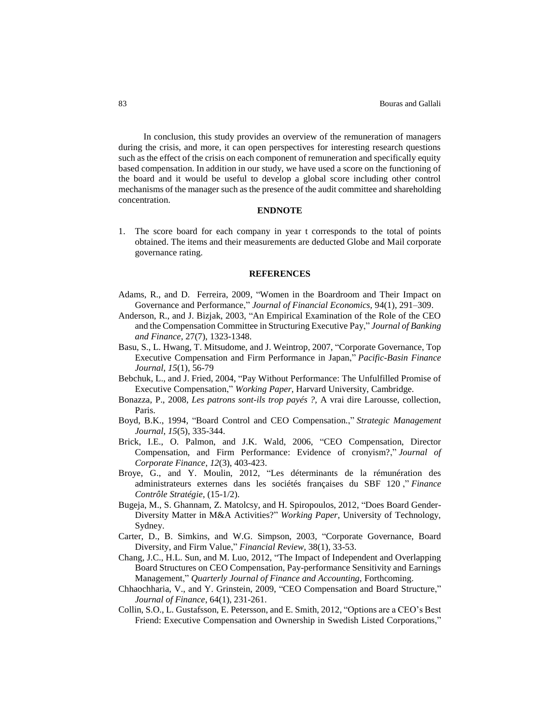In conclusion, this study provides an overview of the remuneration of managers during the crisis, and more, it can open perspectives for interesting research questions such as the effect of the crisis on each component of remuneration and specifically equity based compensation. In addition in our study, we have used a score on the functioning of the board and it would be useful to develop a global score including other control mechanisms of the manager such as the presence of the audit committee and shareholding concentration.

## **ENDNOTE**

1. The score board for each company in year t corresponds to the total of points obtained. The items and their measurements are deducted Globe and Mail corporate governance rating.

#### **REFERENCES**

- Adams, R., and D. Ferreira, 2009, "Women in the Boardroom and Their Impact on Governance and Performance," *Journal of Financial Economics,* 94(1), 291–309.
- Anderson, R., and J. Bizjak, 2003, "An Empirical Examination of the Role of the CEO and the Compensation Committee in Structuring Executive Pay," *Journal of Banking and Finance,* 27(7), 1323-1348.
- Basu, S., L. Hwang, T. Mitsudome, and J. Weintrop, 2007, "Corporate Governance, Top Executive Compensation and Firm Performance in Japan," *Pacific-Basin Finance Journal*, *15*(1), 56-79
- Bebchuk, L., and J. Fried, 2004, "Pay Without Performance: The Unfulfilled Promise of Executive Compensation," *Working Paper*, Harvard University, Cambridge.
- Bonazza, P., 2008, *Les patrons sont-ils trop payés ?,* A vrai dire Larousse, collection, Paris.
- Boyd, B.K., 1994, "Board Control and CEO Compensation.," *Strategic Management Journal*, *15*(5), 335-344.
- Brick, I.E., O. Palmon, and J.K. Wald, 2006, "CEO Compensation, Director Compensation, and Firm Performance: Evidence of cronyism?," *Journal of Corporate Finance*, *12*(3), 403-423.
- Broye, G., and Y. Moulin, 2012, "Les déterminants de la rémunération des administrateurs externes dans les sociétés françaises du SBF 120 ," *Finance Contrôle Stratégie*, (15-1/2).
- Bugeja, M., S. Ghannam, Z. Matolcsy, and H. Spiropoulos, 2012, "Does Board Gender-Diversity Matter in M&A Activities?" *Working Paper*, University of Technology, Sydney.
- Carter, D., B. Simkins, and W.G. Simpson, 2003, "Corporate Governance, Board Diversity, and Firm Value," *Financial Review,* 38(1), 33-53.
- Chang, J.C., H.L. Sun, and M. Luo, 2012, "The Impact of Independent and Overlapping Board Structures on CEO Compensation, Pay-performance Sensitivity and Earnings Management," *Quarterly Journal of Finance and Accounting,* Forthcoming.
- Chhaochharia, V., and Y. Grinstein, 2009, "CEO Compensation and Board Structure," *Journal of Finance*, 64(1), 231-261.
- Collin, S.O., L. Gustafsson, E. Petersson, and E. Smith, 2012, "Options are a CEO's Best Friend: Executive Compensation and Ownership in Swedish Listed Corporations,"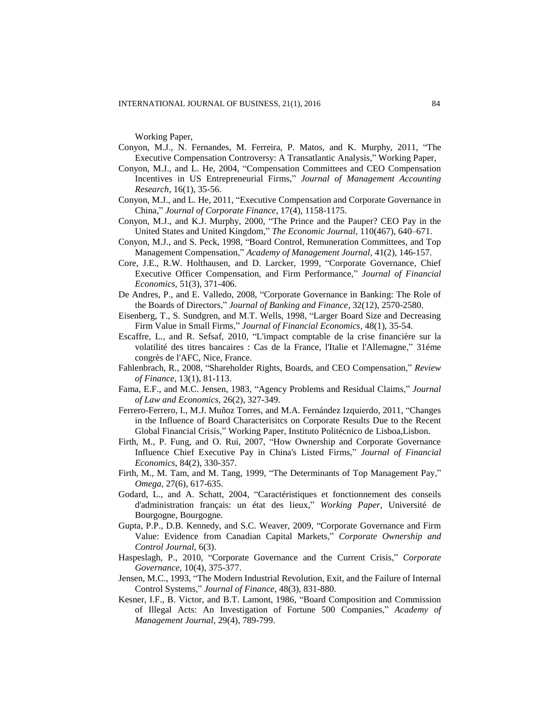Working Paper,

- Conyon, M.J., N. Fernandes, M. Ferreira, P. Matos, and K. Murphy, 2011, "The Executive Compensation Controversy: A Transatlantic Analysis," Working Paper,
- Conyon, M.J., and L. He, 2004, "Compensation Committees and CEO Compensation Incentives in US Entrepreneurial Firms," *Journal of Management Accounting Research*, 16(1), 35-56.
- Conyon, M.J., and L. He, 2011, "Executive Compensation and Corporate Governance in China," *Journal of Corporate Finance*, 17(4), 1158-1175.
- Conyon, M.J., and K.J. Murphy, 2000, "The Prince and the Pauper? CEO Pay in the United States and United Kingdom," *The Economic Journal,* 110(467), 640–671.
- Conyon, M.J., and S. Peck, 1998, "Board Control, Remuneration Committees, and Top Management Compensation," *Academy of Management Journal*, 41(2), 146-157.
- Core, J.E., R.W. Holthausen, and D. Larcker, 1999, "Corporate Governance, Chief Executive Officer Compensation, and Firm Performance," *Journal of Financial Economics,* 51(3), 371-406.
- De Andres, P., and E. Valledo, 2008, "Corporate Governance in Banking: The Role of the Boards of Directors," *Journal of Banking and Finance*, 32(12)*,* 2570-2580.
- Eisenberg, T., S. Sundgren, and M.T. Wells, 1998, "Larger Board Size and Decreasing Firm Value in Small Firms," *Journal of Financial Economics,* 48(1), 35-54.
- Escaffre, L., and R. Sefsaf, 2010, "L'impact comptable de la crise financière sur la volatilité des titres bancaires : Cas de la France, l'Italie et l'Allemagne," 31éme congrès de l'AFC, Nice, France.
- Fahlenbrach, R., 2008, "Shareholder Rights, Boards, and CEO Compensation," *Review of Finance,* 13(1), 81-113.
- Fama, E.F., and M.C. Jensen, 1983, "Agency Problems and Residual Claims," *Journal of Law and Economics,* 26(2), 327-349.
- Ferrero-Ferrero, I., M.J. Muñoz Torres, and M.A. Fernández Izquierdo, 2011, "Changes in the Influence of Board Characterisitcs on Corporate Results Due to the Recent Global Financial Crisis," Working Paper, Instituto Politécnico de Lisboa,Lisbon.
- Firth, M., P. Fung, and O. Rui, 2007, "How Ownership and Corporate Governance Influence Chief Executive Pay in China's Listed Firms," *Journal of Financial Economics,* 84(2), 330-357.
- Firth, M., M. Tam, and M. Tang, 1999, "The Determinants of Top Management Pay," *Omega,* 27(6), 617-635.
- Godard, L., and A. Schatt, 2004, "Caractéristiques et fonctionnement des conseils d'administration français: un état des lieux," *Working Paper*, Université de Bourgogne, Bourgogne.
- Gupta, P.P., D.B. Kennedy, and S.C. Weaver, 2009, "Corporate Governance and Firm Value: Evidence from Canadian Capital Markets," *Corporate Ownership and Control Journal,* 6(3).
- Haspeslagh, P., 2010, "Corporate Governance and the Current Crisis," *Corporate Governance,* 10(4), 375-377.
- Jensen, M.C., 1993, "The Modern Industrial Revolution, Exit, and the Failure of Internal Control Systems," *Journal of Finance,* 48(3), 831-880.
- Kesner, I.F., B. Victor, and B.T. Lamont, 1986, "Board Composition and Commission of Illegal Acts: An Investigation of Fortune 500 Companies," *Academy of Management Journal,* 29(4), 789-799.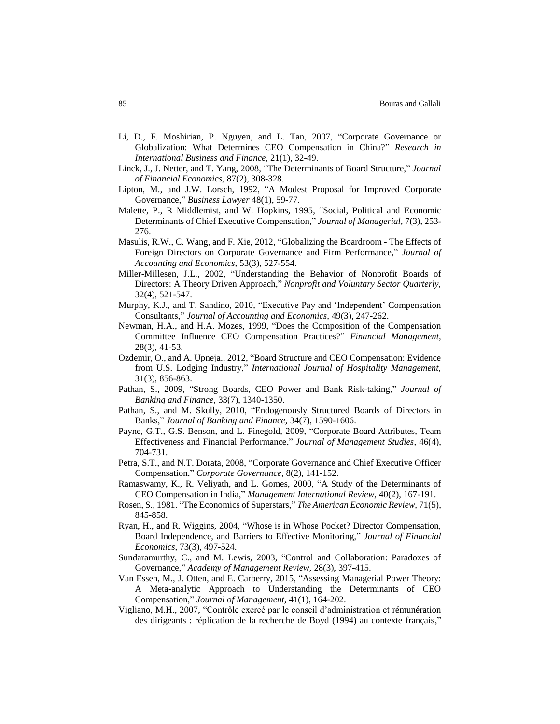- Li, D., F. Moshirian, P. Nguyen, and L. Tan, 2007, "Corporate Governance or Globalization: What Determines CEO Compensation in China?" *Research in International Business and Finance,* 21(1), 32-49.
- Linck, J., J. Netter, and T. Yang, 2008, "The Determinants of Board Structure," *Journal of Financial Economics,* 87(2), 308-328.
- Lipton, M., and J.W. Lorsch, 1992, "A Modest Proposal for Improved Corporate Governance," *Business Lawyer* 48(1), 59-77.
- Malette, P., R Middlemist, and W. Hopkins, 1995, "Social, Political and Economic Determinants of Chief Executive Compensation," *Journal of Managerial,* 7(3), 253- 276.
- Masulis, R.W., C. Wang, and F. Xie, 2012, "Globalizing the Boardroom The Effects of Foreign Directors on Corporate Governance and Firm Performance," *Journal of Accounting and Economics,* 53(3), 527-554.
- Miller-Millesen, J.L., 2002, "Understanding the Behavior of Nonprofit Boards of Directors: A Theory Driven Approach," *Nonprofit and Voluntary Sector Quarterly,*  32(4), 521-547.
- Murphy, K.J., and T. Sandino, 2010, "Executive Pay and 'Independent' Compensation Consultants," *Journal of Accounting and Economics,* 49(3), 247-262.
- Newman, H.A., and H.A. Mozes, 1999, "Does the Composition of the Compensation Committee Influence CEO Compensation Practices?" *Financial Management,* 28(3), 41-53.
- Ozdemir, O., and A. Upneja., 2012, "Board Structure and CEO Compensation: Evidence from U.S. Lodging Industry," *International Journal of Hospitality Management,*  31(3), 856-863.
- Pathan, S., 2009, "Strong Boards, CEO Power and Bank Risk-taking," *Journal of Banking and Finance,* 33(7), 1340-1350.
- Pathan, S., and M. Skully, 2010, "Endogenously Structured Boards of Directors in Banks," *Journal of Banking and Finance,* 34(7), 1590-1606.
- Payne, G.T., G.S. Benson, and L. Finegold, 2009, "Corporate Board Attributes, Team Effectiveness and Financial Performance," *Journal of Management Studies,* 46(4), 704-731.
- Petra, S.T., and N.T. Dorata, 2008, "Corporate Governance and Chief Executive Officer Compensation," *Corporate Governance,* 8(2), 141-152.
- Ramaswamy, K., R. Veliyath, and L. Gomes, 2000, "A Study of the Determinants of CEO Compensation in India," *Management International Review,* 40(2), 167-191.
- Rosen, S., 1981. "The Economics of Superstars," *The American Economic Review,* 71(5), 845-858.
- Ryan, H., and R. Wiggins, 2004, "Whose is in Whose Pocket? Director Compensation, Board Independence, and Barriers to Effective Monitoring," *Journal of Financial Economics,* 73(3), 497-524.
- Sundaramurthy, C., and M. Lewis, 2003, "Control and Collaboration: Paradoxes of Governance," *Academy of Management Review,* 28(3), 397-415.
- Van Essen, M., J. Otten, and E. Carberry, 2015, "Assessing Managerial Power Theory: A Meta-analytic Approach to Understanding the Determinants of CEO Compensation," *Journal of Management,* 41(1), 164-202.
- Vigliano, M.H., 2007, "Contrôle exercé par le conseil d'administration et rémunération des dirigeants : réplication de la recherche de Boyd (1994) au contexte français,"